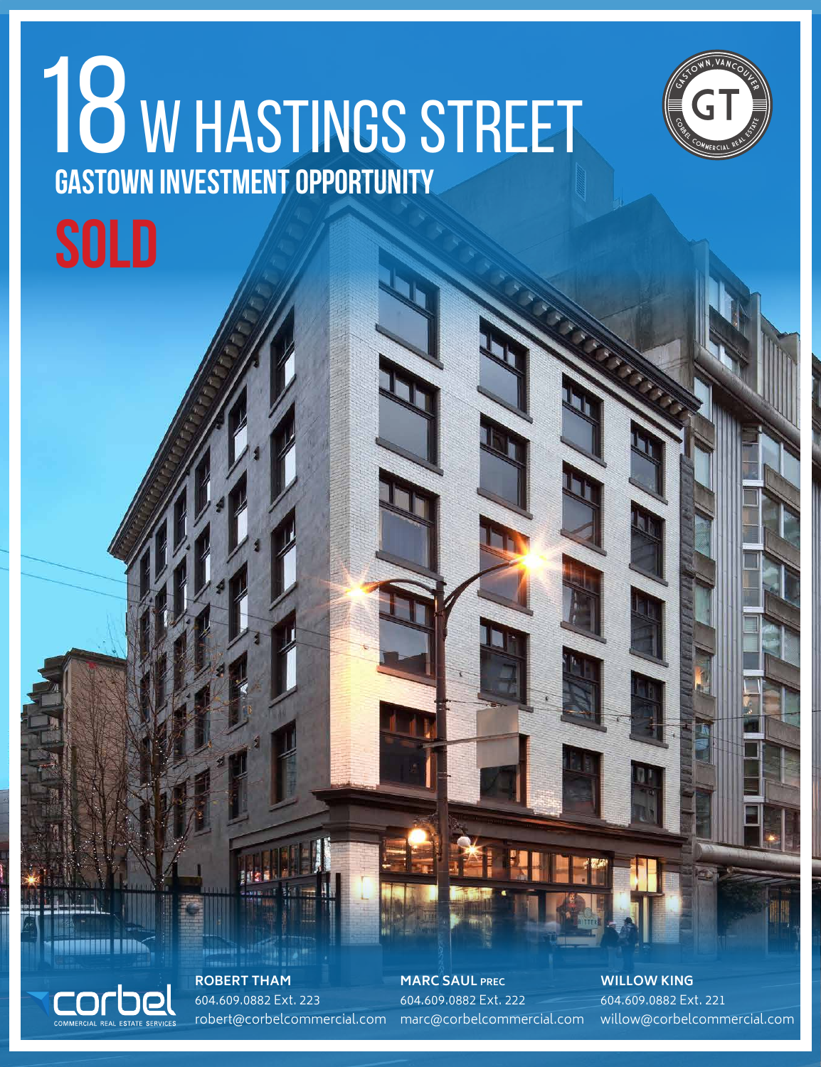## **Gastown Investment Opportunity** 18 W HASTINGS STREET **SOLD**



COMMERCIAL REAL ESTATE SERVICES

**ROBERT THAM** 604.609.0882 Ext. 223

robert@corbelcommercial.com marc@corbelcommercial.com **MARC SAUL PREC** 604.609.0882 Ext. 222

**WILLOW KING** 604.609.0882 Ext. 221 willow@corbelcommercial.com